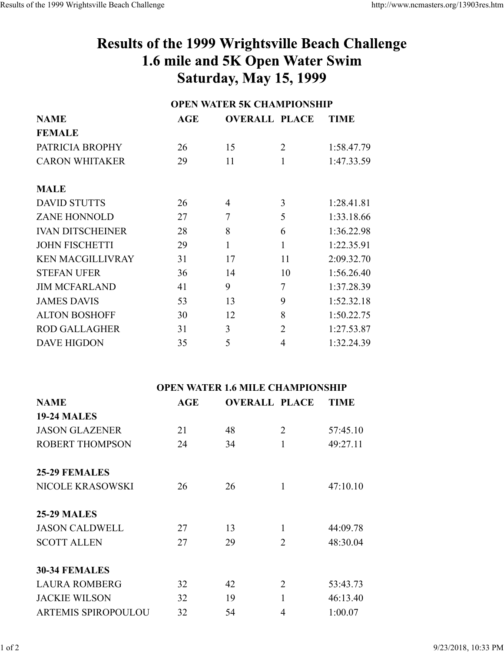## Results of the 1999 Wrightsville Beach Challenge 1.6 mile and 5K Open Water Swim **Saturday, May 15, 1999**

| <b>NAME</b>             | <b>OPEN WATER 5K CHAMPIONSHIP</b> |                      |                |             |  |
|-------------------------|-----------------------------------|----------------------|----------------|-------------|--|
|                         | AGE                               | <b>OVERALL PLACE</b> |                | <b>TIME</b> |  |
| <b>FEMALE</b>           |                                   |                      |                |             |  |
| PATRICIA BROPHY         | 26                                | 15                   | 2              | 1:58.47.79  |  |
| <b>CARON WHITAKER</b>   | 29                                | 11                   | 1              | 1:47.33.59  |  |
| <b>MALE</b>             |                                   |                      |                |             |  |
| <b>DAVID STUTTS</b>     | 26                                | 4                    | 3              | 1:28.41.81  |  |
| <b>ZANE HONNOLD</b>     | 27                                | 7                    | 5              | 1:33.18.66  |  |
| <b>IVAN DITSCHEINER</b> | 28                                | 8                    | 6              | 1:36.22.98  |  |
| <b>JOHN FISCHETTI</b>   | 29                                | 1                    | 1              | 1:22.35.91  |  |
| <b>KEN MACGILLIVRAY</b> | 31                                | 17                   | 11             | 2:09.32.70  |  |
| <b>STEFAN UFER</b>      | 36                                | 14                   | 10             | 1:56.26.40  |  |
| <b>JIM MCFARLAND</b>    | 41                                | 9                    | 7              | 1:37.28.39  |  |
| <b>JAMES DAVIS</b>      | 53                                | 13                   | 9              | 1:52.32.18  |  |
| <b>ALTON BOSHOFF</b>    | 30                                | 12                   | 8              | 1:50.22.75  |  |
| <b>ROD GALLAGHER</b>    | 31                                | 3                    | $\overline{2}$ | 1:27.53.87  |  |
| <b>DAVE HIGDON</b>      | 35                                | 5                    | 4              | 1:32.24.39  |  |

| <b>NAME</b>                | AGE | <b>OVERALL PLACE</b> |                | <b>TIME</b> |
|----------------------------|-----|----------------------|----------------|-------------|
| <b>19-24 MALES</b>         |     |                      |                |             |
| <b>JASON GLAZENER</b>      | 21  | 48                   | $\overline{2}$ | 57:45.10    |
| <b>ROBERT THOMPSON</b>     | 24  | 34                   | 1              | 49:27.11    |
|                            |     |                      |                |             |
| <b>25-29 FEMALES</b>       |     |                      |                |             |
| <b>NICOLE KRASOWSKI</b>    | 26  | 26                   | 1              | 47:10.10    |
|                            |     |                      |                |             |
| <b>25-29 MALES</b>         |     |                      |                |             |
| <b>JASON CALDWELL</b>      | 27  | 13                   | 1              | 44:09.78    |
| <b>SCOTT ALLEN</b>         | 27  | 29                   | 2              | 48:30.04    |
|                            |     |                      |                |             |
| <b>30-34 FEMALES</b>       |     |                      |                |             |
| <b>LAURA ROMBERG</b>       | 32  | 42                   | 2              | 53:43.73    |
| <b>JACKIE WILSON</b>       | 32  | 19                   | 1              | 46:13.40    |
| <b>ARTEMIS SPIROPOULOU</b> | 32  | 54                   | 4              | 1:00.07     |